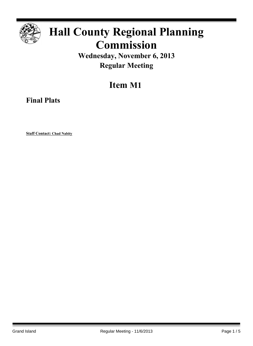

# **Hall County Regional Planning Commission**

### **Wednesday, November 6, 2013 Regular Meeting**

## **Item M1**

**Final Plats**

**Staff Contact: Chad Nabity**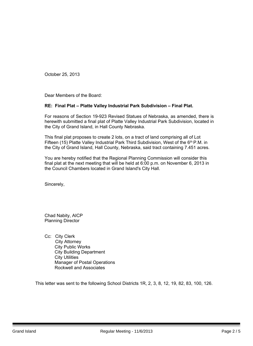October 25, 2013

Dear Members of the Board:

### **RE: Final Plat – Platte Valley Industrial Park Subdivision – Final Plat.**

For reasons of Section 19-923 Revised Statues of Nebraska, as amended, there is herewith submitted a final plat of Platte Valley Industrial Park Subdivision, located in the City of Grand Island, in Hall County Nebraska.

This final plat proposes to create 2 lots, on a tract of land comprising all of Lot Fifteen (15) Platte Valley Industrial Park Third Subdivision, West of the 6<sup>th</sup> P.M. in the City of Grand Island, Hall County, Nebraska, said tract containing 7.451 acres.

You are hereby notified that the Regional Planning Commission will consider this final plat at the next meeting that will be held at 6:00 p.m. on November 6, 2013 in the Council Chambers located in Grand Island's City Hall.

Sincerely,

Chad Nabity, AICP Planning Director

Cc: City Clerk City Attorney City Public Works City Building Department City Utilities Manager of Postal Operations Rockwell and Associates

This letter was sent to the following School Districts 1R, 2, 3, 8, 12, 19, 82, 83, 100, 126.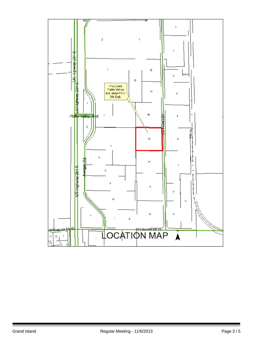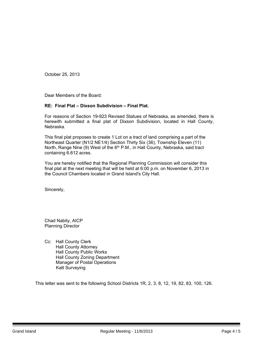October 25, 2013

Dear Members of the Board:

### **RE: Final Plat – Dixson Subdivision – Final Plat.**

For reasons of Section 19-923 Revised Statues of Nebraska, as amended, there is herewith submitted a final plat of Dixson Subdivision, located in Hall County, Nebraska.

This final plat proposes to create 1 Lot on a tract of land comprising a part of the Northeast Quarter (N1/2 NE1/4) Section Thirty Six (36), Township Eleven (11) North, Range Nine (9) West of the 6<sup>th</sup> P.M., in Hall County, Nebraska, said tract containing 6.612 acres.

You are hereby notified that the Regional Planning Commission will consider this final plat at the next meeting that will be held at 6:00 p.m. on November 6, 2013 in the Council Chambers located in Grand Island's City Hall.

Sincerely,

Chad Nabity, AICP Planning Director

Cc: Hall County Clerk Hall County Attorney Hall County Public Works Hall County Zoning Department Manager of Postal Operations Katt Surveying

This letter was sent to the following School Districts 1R, 2, 3, 8, 12, 19, 82, 83, 100, 126.